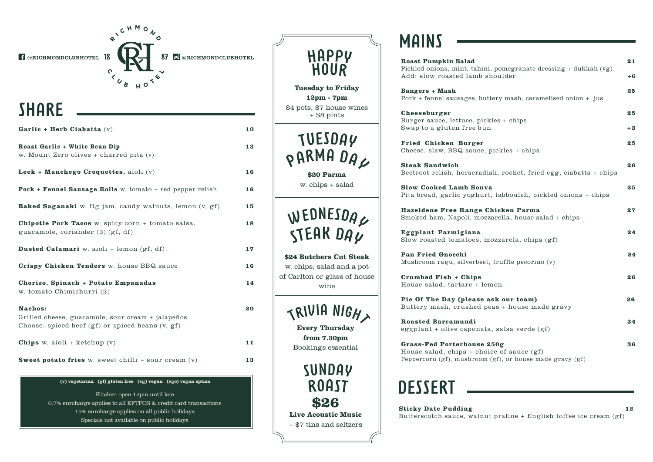f @RICHMONDCLUBHOTEL 18

87 O @RICHMONDCLUBHOTEL

**10** 

**13**

**16**

 **16**

**15**

**18**

**17** 

**16** 

**14**

**20**

**11**

**13**

# **SHARE**

| Garlic + Herb Ciabatta $(v)$                                                                                         |
|----------------------------------------------------------------------------------------------------------------------|
| Roast Garlic + White Bean Dip<br>w. Mount Zero olives + charred pita (v)                                             |
| Leek + Manchego Croquettes, aioli $(v)$                                                                              |
| <b>Pork + Fennel Sausage Rolls</b> w. tomato + red pepper relish                                                     |
| <b>Baked Saganaki</b> w. fig jam, candy walnuts, lemon (v, gf)                                                       |
| <b>Chipotle Pork Tacos</b> w. spicy corn + tomato salsa,<br>guacamole, coriander (3) (gf, df)                        |
| <b>Dusted Calamari</b> w. aioli + lemon $(gf, df)$                                                                   |
| Crispy Chicken Tenders w. house BBQ sauce                                                                            |
| Chorizo, Spinach + Potato Empanadas<br>w. tomato Chimichurri (2)                                                     |
| Nachos:<br>Grilled cheese, guacamole, sour cream + jalapeños<br>Choose: spiced beef $(gf)$ or spiced beans $(v, gf)$ |
| <b>Chips</b> w. aioli + ketchup $(v)$                                                                                |
| <b>Sweet potato fries</b> w. sweet chilli $+$ sour cream $(v)$                                                       |

RICHMONS

 $H<sup>O</sup>$ 

 $\overline{\mathbf{v}}$ 

 $\begin{array}{cc} \circ & \mathbf{I} \\ \circ & \circ \\ \circ & \mathbf{I} \end{array}$ 

**(v) vegetarian (gf) gluten free (vg) vegan (vgo) vegan option** 

**(gf) gluten free (vg) vegan (v) vegetarian (df) dairy free** Specials not available on public holidays Kitchen open 12pm until late 0.7% surcharge applies to all EFTPOS & credit card transactions 15% surcharge applies on all public holidays

| HAPPY<br><b>HOUR</b>                                                                                                  |  |
|-----------------------------------------------------------------------------------------------------------------------|--|
| <b>Tuesday to Friday</b><br>12pm - 7pm<br>\$4 pots, \$7 house wines<br>$+$ \$8 pints                                  |  |
| TUESDAY<br>PARMA DAL<br>\$20 Parma<br>w. chips + salad                                                                |  |
| WEDNESDAC<br><b>STEAK DAU</b><br>\$24 Butchers Cut Steak<br>w. chips, salad and a pot<br>of Carlton or glass of house |  |
| wine<br>TRIVIA NIGHT<br><b>Every Thursday</b><br>from 7.30pm<br>Bookings essential                                    |  |
| SUNDAY<br><b>ROAST</b><br>\$26<br><b>Live Acoustic Music</b>                                                          |  |
| + \$7 tins and seltzers                                                                                               |  |

## **MAINS**

| <b>Roast Pumpkin Salad</b><br>Pickled onions, mint, tahini, pomegranate dressing + dukkah (vg)                                                 | 21       |
|------------------------------------------------------------------------------------------------------------------------------------------------|----------|
| Add: slow roasted lamb shoulder<br><b>Bangers + Mash</b>                                                                                       | +6<br>25 |
| Pork + fennel sausages, buttery mash, caramelised onion + jus<br>Cheeseburger                                                                  | 25       |
| Burger sauce, lettuce, pickles + chips<br>Swap to a gluten free bun                                                                            | $+3$     |
| Fried Chicken Burger<br>Cheese, slaw, BBQ sauce, pickles + chips                                                                               | 25       |
| <b>Steak Sandwich</b><br>Beetroot relish, horseradish, rocket, fried egg, ciabatta + chips                                                     | 26       |
| <b>Slow Cooked Lamb Souva</b><br>Pita bread, garlic yoghurt, tabbouleh, pickled onions + chips                                                 | 25       |
| Hazeldene Free Range Chicken Parma<br>Smoked ham, Napoli, mozzarella, house salad + chips                                                      | 27       |
| Eggplant Parmigiana<br>Slow roasted tomatoes, mozzarela, chips (gf)                                                                            | 24       |
| <b>Pan Fried Gnocchi</b><br>Mushroom ragu, silverbeet, truffle pecorino (v)                                                                    | 24       |
| Crumbed Fish + Chips<br>House salad, tartare + lemon                                                                                           | 26       |
| Pie Of The Day (please ask our team)<br>Buttery mash, crushed peas + house made gravy                                                          | 26       |
| Roasted Barramundi<br>eggplant + olive caponata, salsa verde (gf)                                                                              | 34       |
| <b>Grass-Fed Porterhouse 250g</b><br>House salad, chips $+$ choice of sauce $(gf)$<br>Peppercorn (gf), mushroom (gf), or house made gravy (gf) | 36       |

# **DESSERT**

#### **Sticky Date Pudding 12**

Butterscotch sauce, walnut praline + English toffee ice cream (gf)